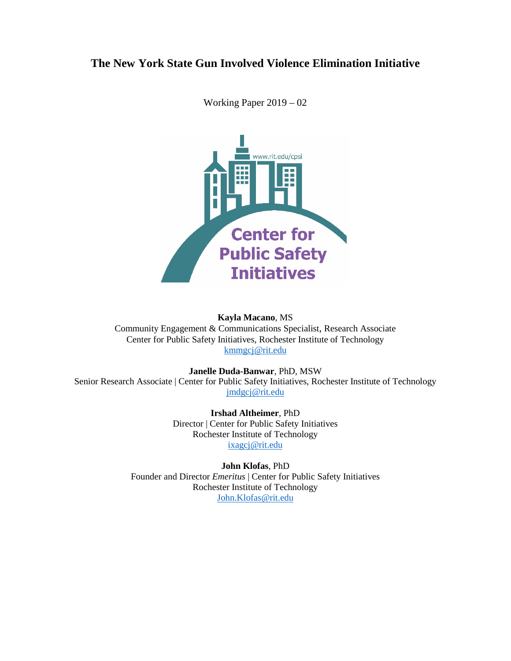# **The New York State Gun Involved Violence Elimination Initiative**



Working Paper 2019 – 02

## **Kayla Macano**, MS

Community Engagement & Communications Specialist, Research Associate Center for Public Safety Initiatives, Rochester Institute of Technology [kmmgcj@rit.edu](mailto:kmmgcj@rit.edu)

## **Janelle Duda-Banwar**, PhD, MSW

Senior Research Associate | Center for Public Safety Initiatives, Rochester Institute of Technology [jmdgcj@rit.edu](mailto:jmdgcj@rit.edu)

> **Irshad Altheimer**, PhD Director | Center for Public Safety Initiatives Rochester Institute of Technology [ixagcj@rit.edu](mailto:ixagcj@rit.edu)

**John Klofas**, PhD Founder and Director *Emeritus* | Center for Public Safety Initiatives Rochester Institute of Technology [John.Klofas@rit.edu](mailto:John.Klofas@rit.edu)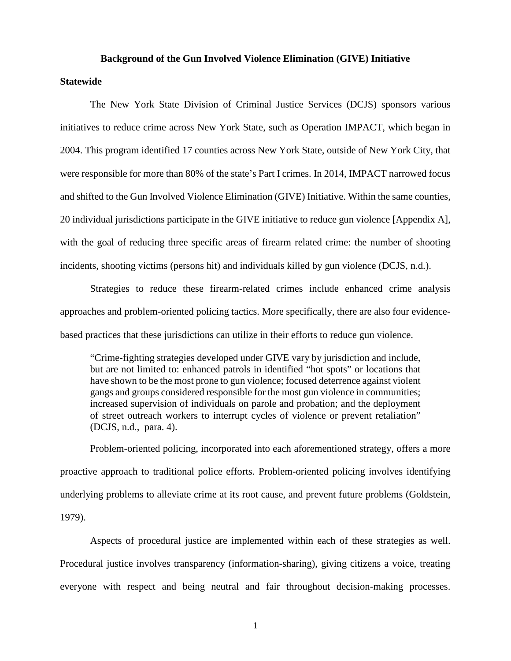#### **Background of the Gun Involved Violence Elimination (GIVE) Initiative**

#### **Statewide**

The New York State Division of Criminal Justice Services (DCJS) sponsors various initiatives to reduce crime across New York State, such as Operation IMPACT, which began in 2004. This program identified 17 counties across New York State, outside of New York City, that were responsible for more than 80% of the state's Part I crimes. In 2014, IMPACT narrowed focus and shifted to the Gun Involved Violence Elimination (GIVE) Initiative. Within the same counties, 20 individual jurisdictions participate in the GIVE initiative to reduce gun violence [Appendix A], with the goal of reducing three specific areas of firearm related crime: the number of shooting incidents, shooting victims (persons hit) and individuals killed by gun violence (DCJS, n.d.).

Strategies to reduce these firearm-related crimes include enhanced crime analysis approaches and problem-oriented policing tactics. More specifically, there are also four evidencebased practices that these jurisdictions can utilize in their efforts to reduce gun violence.

"Crime-fighting strategies developed under GIVE vary by jurisdiction and include, but are not limited to: enhanced patrols in identified "hot spots" or locations that have shown to be the most prone to gun violence; focused deterrence against violent gangs and groups considered responsible for the most gun violence in communities; increased supervision of individuals on parole and probation; and the deployment of street outreach workers to interrupt cycles of violence or prevent retaliation" (DCJS, n.d., para. 4).

Problem-oriented policing, incorporated into each aforementioned strategy, offers a more proactive approach to traditional police efforts. Problem-oriented policing involves identifying underlying problems to alleviate crime at its root cause, and prevent future problems (Goldstein, 1979).

Aspects of procedural justice are implemented within each of these strategies as well. Procedural justice involves transparency (information-sharing), giving citizens a voice, treating everyone with respect and being neutral and fair throughout decision-making processes.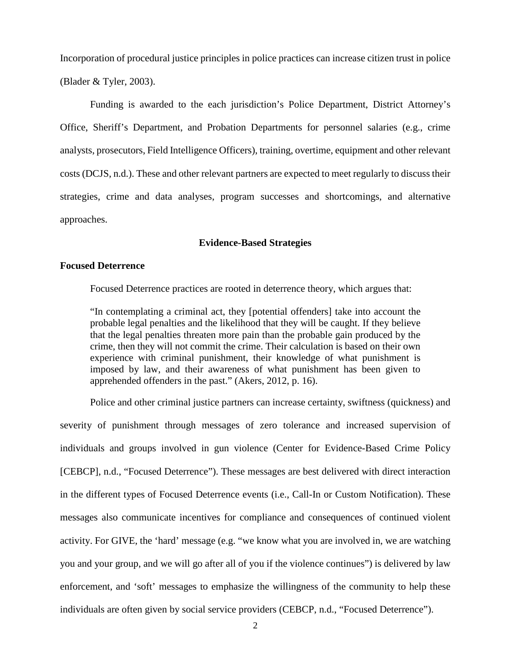Incorporation of procedural justice principles in police practices can increase citizen trust in police (Blader & Tyler, 2003).

Funding is awarded to the each jurisdiction's Police Department, District Attorney's Office, Sheriff's Department, and Probation Departments for personnel salaries (e.g., crime analysts, prosecutors, Field Intelligence Officers), training, overtime, equipment and other relevant costs (DCJS, n.d.). These and other relevant partners are expected to meet regularly to discuss their strategies, crime and data analyses, program successes and shortcomings, and alternative approaches.

### **Evidence-Based Strategies**

### **Focused Deterrence**

Focused Deterrence practices are rooted in deterrence theory, which argues that:

"In contemplating a criminal act, they [potential offenders] take into account the probable legal penalties and the likelihood that they will be caught. If they believe that the legal penalties threaten more pain than the probable gain produced by the crime, then they will not commit the crime. Their calculation is based on their own experience with criminal punishment, their knowledge of what punishment is imposed by law, and their awareness of what punishment has been given to apprehended offenders in the past." (Akers, 2012, p. 16).

Police and other criminal justice partners can increase certainty, swiftness (quickness) and severity of punishment through messages of zero tolerance and increased supervision of individuals and groups involved in gun violence (Center for Evidence-Based Crime Policy [CEBCP], n.d., "Focused Deterrence"). These messages are best delivered with direct interaction in the different types of Focused Deterrence events (i.e., Call-In or Custom Notification). These messages also communicate incentives for compliance and consequences of continued violent activity. For GIVE, the 'hard' message (e.g. "we know what you are involved in, we are watching you and your group, and we will go after all of you if the violence continues") is delivered by law enforcement, and 'soft' messages to emphasize the willingness of the community to help these individuals are often given by social service providers (CEBCP, n.d., "Focused Deterrence").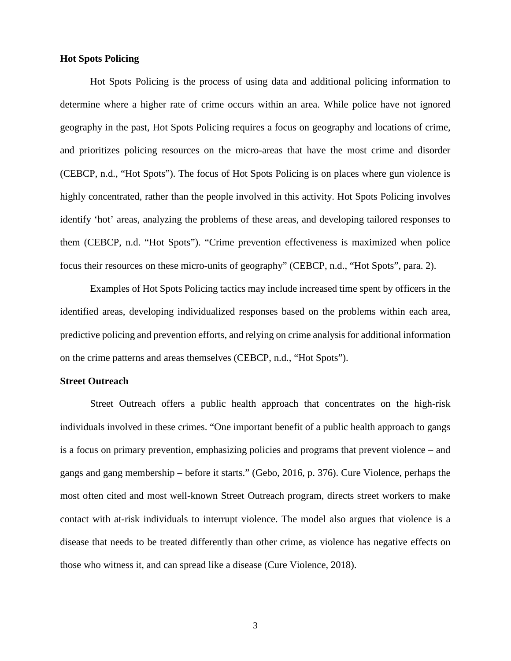#### **Hot Spots Policing**

Hot Spots Policing is the process of using data and additional policing information to determine where a higher rate of crime occurs within an area. While police have not ignored geography in the past, Hot Spots Policing requires a focus on geography and locations of crime, and prioritizes policing resources on the micro-areas that have the most crime and disorder (CEBCP, n.d., "Hot Spots"). The focus of Hot Spots Policing is on places where gun violence is highly concentrated, rather than the people involved in this activity. Hot Spots Policing involves identify 'hot' areas, analyzing the problems of these areas, and developing tailored responses to them (CEBCP, n.d. "Hot Spots"). "Crime prevention effectiveness is maximized when police focus their resources on these micro-units of geography" (CEBCP, n.d., "Hot Spots", para. 2).

Examples of Hot Spots Policing tactics may include increased time spent by officers in the identified areas, developing individualized responses based on the problems within each area, predictive policing and prevention efforts, and relying on crime analysis for additional information on the crime patterns and areas themselves (CEBCP, n.d., "Hot Spots").

## **Street Outreach**

Street Outreach offers a public health approach that concentrates on the high-risk individuals involved in these crimes. "One important benefit of a public health approach to gangs is a focus on primary prevention, emphasizing policies and programs that prevent violence – and gangs and gang membership – before it starts." (Gebo, 2016, p. 376). Cure Violence, perhaps the most often cited and most well-known Street Outreach program, directs street workers to make contact with at-risk individuals to interrupt violence. The model also argues that violence is a disease that needs to be treated differently than other crime, as violence has negative effects on those who witness it, and can spread like a disease (Cure Violence, 2018).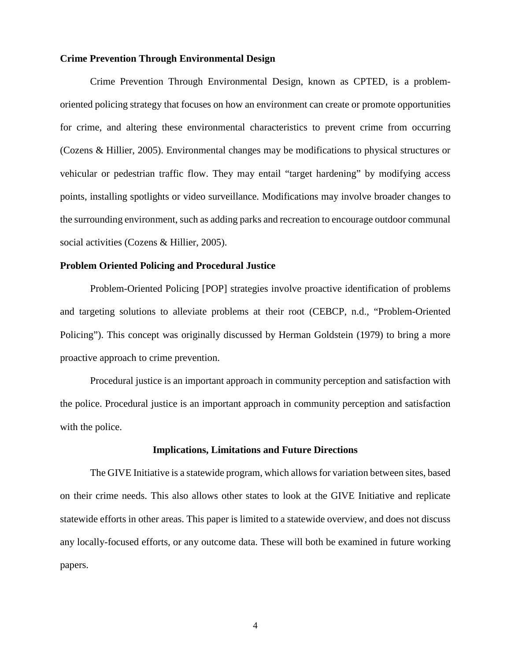### **Crime Prevention Through Environmental Design**

Crime Prevention Through Environmental Design, known as CPTED, is a problemoriented policing strategy that focuses on how an environment can create or promote opportunities for crime, and altering these environmental characteristics to prevent crime from occurring (Cozens & Hillier, 2005). Environmental changes may be modifications to physical structures or vehicular or pedestrian traffic flow. They may entail "target hardening" by modifying access points, installing spotlights or video surveillance. Modifications may involve broader changes to the surrounding environment, such as adding parks and recreation to encourage outdoor communal social activities (Cozens & Hillier, 2005).

#### **Problem Oriented Policing and Procedural Justice**

Problem-Oriented Policing [POP] strategies involve proactive identification of problems and targeting solutions to alleviate problems at their root (CEBCP, n.d., "Problem-Oriented Policing"). This concept was originally discussed by Herman Goldstein (1979) to bring a more proactive approach to crime prevention.

Procedural justice is an important approach in community perception and satisfaction with the police. Procedural justice is an important approach in community perception and satisfaction with the police.

#### **Implications, Limitations and Future Directions**

The GIVE Initiative is a statewide program, which allows for variation between sites, based on their crime needs. This also allows other states to look at the GIVE Initiative and replicate statewide efforts in other areas. This paper is limited to a statewide overview, and does not discuss any locally-focused efforts, or any outcome data. These will both be examined in future working papers.

4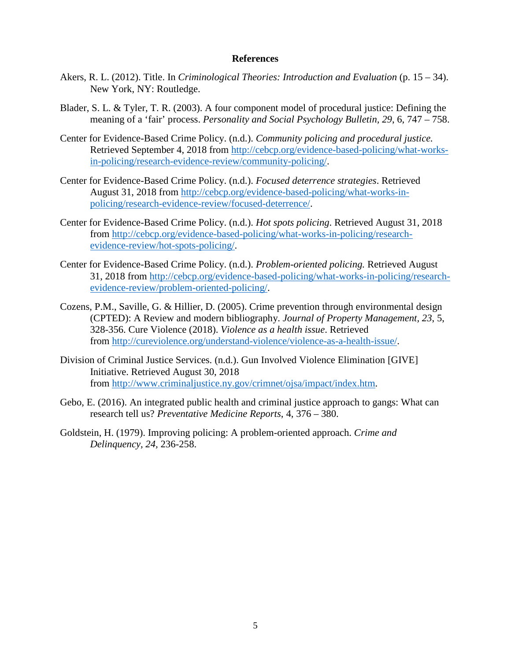#### **References**

- Akers, R. L. (2012). Title. In *Criminological Theories: Introduction and Evaluation* (p. 15 34). New York, NY: Routledge.
- Blader, S. L. & Tyler, T. R. (2003). A four component model of procedural justice: Defining the meaning of a 'fair' process. *Personality and Social Psychology Bulletin, 29*, 6, 747 – 758.
- Center for Evidence-Based Crime Policy. (n.d.). *Community policing and procedural justice.* Retrieved September 4, 2018 from [http://cebcp.org/evidence-based-policing/what-works](http://cebcp.org/evidence-based-policing/what-works-in-policing/research-evidence-review/community-policing/)[in-policing/research-evidence-review/community-policing/.](http://cebcp.org/evidence-based-policing/what-works-in-policing/research-evidence-review/community-policing/)
- Center for Evidence-Based Crime Policy. (n.d.). *Focused deterrence strategies*. Retrieved August 31, 2018 from [http://cebcp.org/evidence-based-policing/what-works-in](http://cebcp.org/evidence-based-policing/what-works-in-policing/research-evidence-review/focused-deterrence/)[policing/research-evidence-review/focused-deterrence/.](http://cebcp.org/evidence-based-policing/what-works-in-policing/research-evidence-review/focused-deterrence/)
- Center for Evidence-Based Crime Policy. (n.d.). *Hot spots policing*. Retrieved August 31, 2018 from [http://cebcp.org/evidence-based-policing/what-works-in-policing/research](http://cebcp.org/evidence-based-policing/what-works-in-policing/research-evidence-review/hot-spots-policing/)[evidence-review/hot-spots-policing/.](http://cebcp.org/evidence-based-policing/what-works-in-policing/research-evidence-review/hot-spots-policing/)
- Center for Evidence-Based Crime Policy. (n.d.). *Problem-oriented policing.* Retrieved August 31, 2018 from [http://cebcp.org/evidence-based-policing/what-works-in-policing/research](http://cebcp.org/evidence-based-policing/what-works-in-policing/research-evidence-review/problem-oriented-policing/)[evidence-review/problem-oriented-policing/.](http://cebcp.org/evidence-based-policing/what-works-in-policing/research-evidence-review/problem-oriented-policing/)
- Cozens, P.M., Saville, G. & Hillier, D. (2005). Crime prevention through environmental design (CPTED): A Review and modern bibliography. *Journal of Property Management, 23*, 5, 328-356. Cure Violence (2018). *Violence as a health issue*. Retrieved from [http://cureviolence.org/understand-violence/violence-as-a-health-issue/.](http://cureviolence.org/understand-violence/violence-as-a-health-issue/)
- Division of Criminal Justice Services. (n.d.). Gun Involved Violence Elimination [GIVE] Initiative. Retrieved August 30, 2018 from [http://www.criminaljustice.ny.gov/crimnet/ojsa/impact/index.htm.](http://www.criminaljustice.ny.gov/crimnet/ojsa/impact/index.htm)
- Gebo, E. (2016). An integrated public health and criminal justice approach to gangs: What can research tell us? *Preventative Medicine Reports*, 4, 376 – 380.
- Goldstein, H. (1979). Improving policing: A problem-oriented approach. *Crime and Delinquency, 24,* 236-258.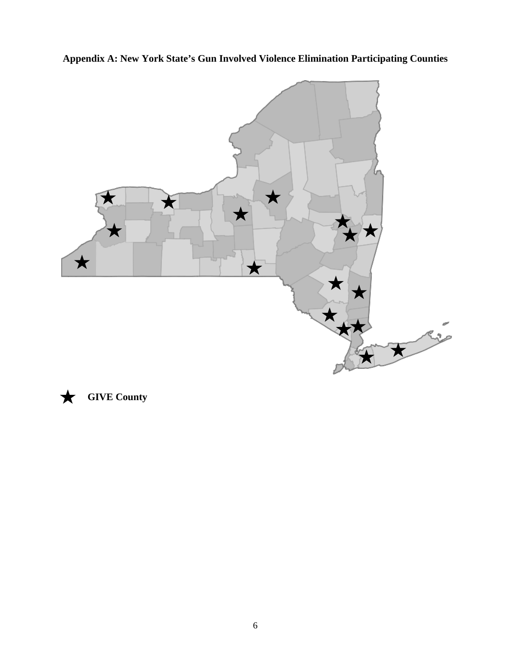**Appendix A: New York State's Gun Involved Violence Elimination Participating Counties**